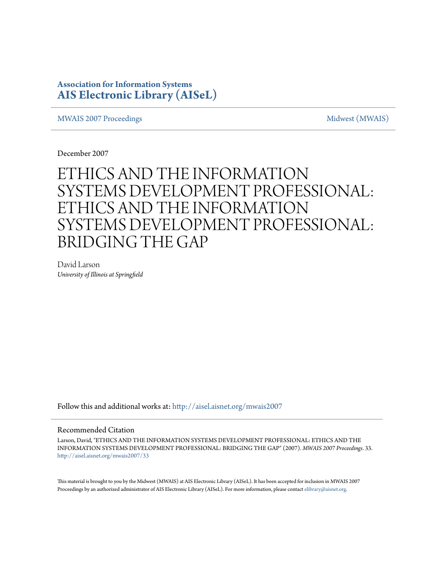### **Association for Information Systems [AIS Electronic Library \(AISeL\)](http://aisel.aisnet.org?utm_source=aisel.aisnet.org%2Fmwais2007%2F33&utm_medium=PDF&utm_campaign=PDFCoverPages)**

[MWAIS 2007 Proceedings](http://aisel.aisnet.org/mwais2007?utm_source=aisel.aisnet.org%2Fmwais2007%2F33&utm_medium=PDF&utm_campaign=PDFCoverPages) and the matrix of the [Midwest \(MWAIS\)](http://aisel.aisnet.org/mwais?utm_source=aisel.aisnet.org%2Fmwais2007%2F33&utm_medium=PDF&utm_campaign=PDFCoverPages)

December 2007

# ETHICS AND THE INFORMATION SYSTEMS DEVELOPMENT PROFESSIONAL: ETHICS AND THE INFORMATION SYSTEMS DEVELOPMENT PROFESSIONAL: BRIDGING THE GAP

David Larson *University of Illinois at Springfield*

Follow this and additional works at: [http://aisel.aisnet.org/mwais2007](http://aisel.aisnet.org/mwais2007?utm_source=aisel.aisnet.org%2Fmwais2007%2F33&utm_medium=PDF&utm_campaign=PDFCoverPages)

#### Recommended Citation

Larson, David, "ETHICS AND THE INFORMATION SYSTEMS DEVELOPMENT PROFESSIONAL: ETHICS AND THE INFORMATION SYSTEMS DEVELOPMENT PROFESSIONAL: BRIDGING THE GAP" (2007). *MWAIS 2007 Proceedings*. 33. [http://aisel.aisnet.org/mwais2007/33](http://aisel.aisnet.org/mwais2007/33?utm_source=aisel.aisnet.org%2Fmwais2007%2F33&utm_medium=PDF&utm_campaign=PDFCoverPages)

This material is brought to you by the Midwest (MWAIS) at AIS Electronic Library (AISeL). It has been accepted for inclusion in MWAIS 2007 Proceedings by an authorized administrator of AIS Electronic Library (AISeL). For more information, please contact [elibrary@aisnet.org](mailto:elibrary@aisnet.org%3E).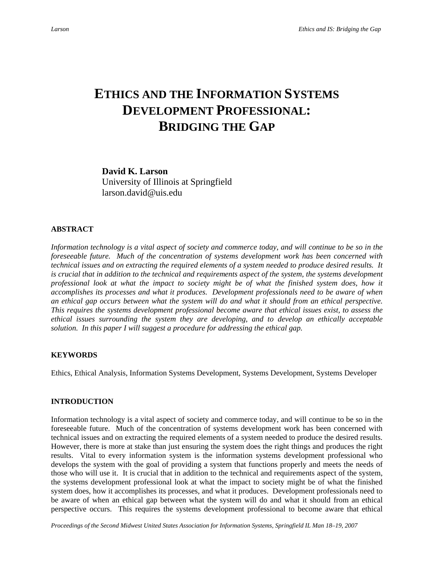## **ETHICS AND THE INFORMATION SYSTEMS DEVELOPMENT PROFESSIONAL: BRIDGING THE GAP**

**David K. Larson**  University of Illinois at Springfield larson.david@uis.edu

#### **ABSTRACT**

*Information technology is a vital aspect of society and commerce today, and will continue to be so in the foreseeable future. Much of the concentration of systems development work has been concerned with technical issues and on extracting the required elements of a system needed to produce desired results. It is crucial that in addition to the technical and requirements aspect of the system, the systems development professional look at what the impact to society might be of what the finished system does, how it accomplishes its processes and what it produces. Development professionals need to be aware of when an ethical gap occurs between what the system will do and what it should from an ethical perspective. This requires the systems development professional become aware that ethical issues exist, to assess the ethical issues surrounding the system they are developing, and to develop an ethically acceptable solution. In this paper I will suggest a procedure for addressing the ethical gap.* 

#### **KEYWORDS**

Ethics, Ethical Analysis, Information Systems Development, Systems Development, Systems Developer

#### **INTRODUCTION**

Information technology is a vital aspect of society and commerce today, and will continue to be so in the foreseeable future. Much of the concentration of systems development work has been concerned with technical issues and on extracting the required elements of a system needed to produce the desired results. However, there is more at stake than just ensuring the system does the right things and produces the right results. Vital to every information system is the information systems development professional who develops the system with the goal of providing a system that functions properly and meets the needs of those who will use it. It is crucial that in addition to the technical and requirements aspect of the system, the systems development professional look at what the impact to society might be of what the finished system does, how it accomplishes its processes, and what it produces. Development professionals need to be aware of when an ethical gap between what the system will do and what it should from an ethical perspective occurs. This requires the systems development professional to become aware that ethical

*Proceedings of the Second Midwest United States Association for Information Systems, Springfield IL Man 18–19, 2007*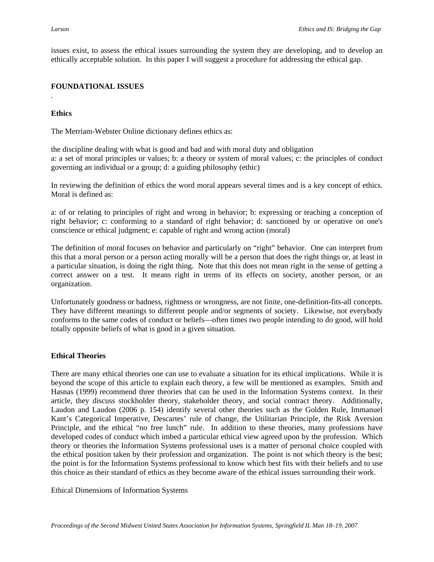issues exist, to assess the ethical issues surrounding the system they are developing, and to develop an ethically acceptable solution. In this paper I will suggest a procedure for addressing the ethical gap.

#### **FOUNDATIONAL ISSUES**

#### **Ethics**

*.* 

The Merriam-Webster Online dictionary defines ethics as:

the discipline dealing with what is good and bad and with moral duty and obligation a: a set of moral principles or values; b: a theory or system of moral values; c: the principles of conduct governing an individual or a group; d: a guiding philosophy (ethic)

In reviewing the definition of ethics the word moral appears several times and is a key concept of ethics. Moral is defined as:

a: of or relating to principles of right and wrong in behavior; b: expressing or teaching a conception of right behavior; c: conforming to a standard of right behavior; d: sanctioned by or operative on one's conscience or ethical judgment; e: capable of right and wrong action (moral)

The definition of moral focuses on behavior and particularly on "right" behavior. One can interpret from this that a moral person or a person acting morally will be a person that does the right things or, at least in a particular situation, is doing the right thing. Note that this does not mean right in the sense of getting a correct answer on a test. It means right in terms of its effects on society, another person, or an organization.

Unfortunately goodness or badness, rightness or wrongness, are not finite, one-definition-fits-all concepts. They have different meanings to different people and/or segments of society. Likewise, not everybody conforms to the same codes of conduct or beliefs—often times two people intending to do good, will hold totally opposite beliefs of what is good in a given situation.

#### **Ethical Theories**

There are many ethical theories one can use to evaluate a situation for its ethical implications. While it is beyond the scope of this article to explain each theory, a few will be mentioned as examples. Smith and Hasnas (1999) recommend three theories that can be used in the Information Systems context. In their article, they discuss stockholder theory, stakeholder theory, and social contract theory. Additionally, Laudon and Laudon (2006 p. 154) identify several other theories such as the Golden Rule, Immanuel Kant's Categorical Imperative, Descartes' rule of change, the Utilitarian Principle, the Risk Aversion Principle, and the ethical "no free lunch" rule. In addition to these theories, many professions have developed codes of conduct which imbed a particular ethical view agreed upon by the profession. Which theory or theories the Information Systems professional uses is a matter of personal choice coupled with the ethical position taken by their profession and organization. The point is not which theory is the best; the point is for the Information Systems professional to know which best fits with their beliefs and to use this choice as their standard of ethics as they become aware of the ethical issues surrounding their work.

Ethical Dimensions of Information Systems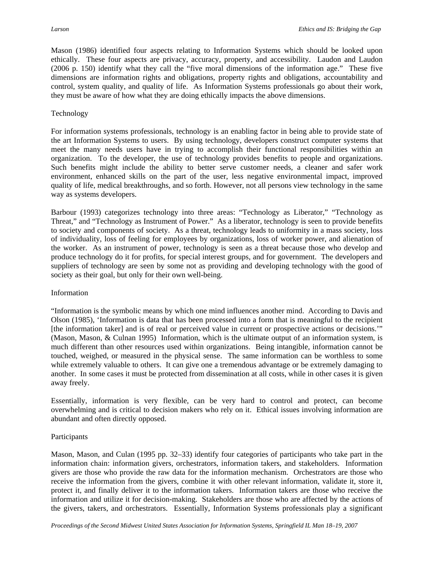Mason (1986) identified four aspects relating to Information Systems which should be looked upon ethically. These four aspects are privacy, accuracy, property, and accessibility. Laudon and Laudon (2006 p. 150) identify what they call the "five moral dimensions of the information age." These five dimensions are information rights and obligations, property rights and obligations, accountability and control, system quality, and quality of life. As Information Systems professionals go about their work, they must be aware of how what they are doing ethically impacts the above dimensions.

#### Technology

For information systems professionals, technology is an enabling factor in being able to provide state of the art Information Systems to users. By using technology, developers construct computer systems that meet the many needs users have in trying to accomplish their functional responsibilities within an organization. To the developer, the use of technology provides benefits to people and organizations. Such benefits might include the ability to better serve customer needs, a cleaner and safer work environment, enhanced skills on the part of the user, less negative environmental impact, improved quality of life, medical breakthroughs, and so forth. However, not all persons view technology in the same way as systems developers.

Barbour (1993) categorizes technology into three areas: "Technology as Liberator," "Technology as Threat," and "Technology as Instrument of Power." As a liberator, technology is seen to provide benefits to society and components of society. As a threat, technology leads to uniformity in a mass society, loss of individuality, loss of feeling for employees by organizations, loss of worker power, and alienation of the worker. As an instrument of power, technology is seen as a threat because those who develop and produce technology do it for profits, for special interest groups, and for government. The developers and suppliers of technology are seen by some not as providing and developing technology with the good of society as their goal, but only for their own well-being.

#### Information

"Information is the symbolic means by which one mind influences another mind. According to Davis and Olson (1985), 'Information is data that has been processed into a form that is meaningful to the recipient [the information taker] and is of real or perceived value in current or prospective actions or decisions.'" (Mason, Mason, & Culnan 1995) Information, which is the ultimate output of an information system, is much different than other resources used within organizations. Being intangible, information cannot be touched, weighed, or measured in the physical sense. The same information can be worthless to some while extremely valuable to others. It can give one a tremendous advantage or be extremely damaging to another. In some cases it must be protected from dissemination at all costs, while in other cases it is given away freely.

Essentially, information is very flexible, can be very hard to control and protect, can become overwhelming and is critical to decision makers who rely on it. Ethical issues involving information are abundant and often directly opposed.

#### Participants

Mason, Mason, and Culan (1995 pp. 32–33) identify four categories of participants who take part in the information chain: information givers, orchestrators, information takers, and stakeholders. Information givers are those who provide the raw data for the information mechanism. Orchestrators are those who receive the information from the givers, combine it with other relevant information, validate it, store it, protect it, and finally deliver it to the information takers. Information takers are those who receive the information and utilize it for decision-making. Stakeholders are those who are affected by the actions of the givers, takers, and orchestrators. Essentially, Information Systems professionals play a significant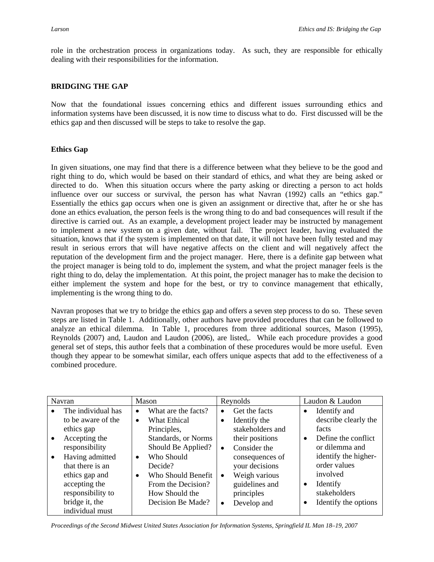role in the orchestration process in organizations today. As such, they are responsible for ethically dealing with their responsibilities for the information.

#### **BRIDGING THE GAP**

Now that the foundational issues concerning ethics and different issues surrounding ethics and information systems have been discussed, it is now time to discuss what to do. First discussed will be the ethics gap and then discussed will be steps to take to resolve the gap.

#### **Ethics Gap**

In given situations, one may find that there is a difference between what they believe to be the good and right thing to do, which would be based on their standard of ethics, and what they are being asked or directed to do. When this situation occurs where the party asking or directing a person to act holds influence over our success or survival, the person has what Navran (1992) calls an "ethics gap." Essentially the ethics gap occurs when one is given an assignment or directive that, after he or she has done an ethics evaluation, the person feels is the wrong thing to do and bad consequences will result if the directive is carried out. As an example, a development project leader may be instructed by management to implement a new system on a given date, without fail. The project leader, having evaluated the situation, knows that if the system is implemented on that date, it will not have been fully tested and may result in serious errors that will have negative affects on the client and will negatively affect the reputation of the development firm and the project manager. Here, there is a definite gap between what the project manager is being told to do, implement the system, and what the project manager feels is the right thing to do, delay the implementation. At this point, the project manager has to make the decision to either implement the system and hope for the best, or try to convince management that ethically, implementing is the wrong thing to do.

Navran proposes that we try to bridge the ethics gap and offers a seven step process to do so. These seven steps are listed in Table 1. Additionally, other authors have provided procedures that can be followed to analyze an ethical dilemma. In Table 1, procedures from three additional sources, Mason (1995), Reynolds (2007) and, Laudon and Laudon (2006), are listed,. While each procedure provides a good general set of steps, this author feels that a combination of these procedures would be more useful. Even though they appear to be somewhat similar, each offers unique aspects that add to the effectiveness of a combined procedure.

| Navran    |                    | Mason     |                             | Reynolds  |                  | Laudon & Laudon |                      |
|-----------|--------------------|-----------|-----------------------------|-----------|------------------|-----------------|----------------------|
| $\bullet$ | The individual has | $\bullet$ | What are the facts?         | $\bullet$ | Get the facts    |                 | Identify and         |
|           | to be aware of the | $\bullet$ | <b>What Ethical</b>         | $\bullet$ | Identify the     |                 | describe clearly the |
|           | ethics gap         |           | Principles,                 |           | stakeholders and |                 | facts                |
| $\bullet$ | Accepting the      |           | <b>Standards</b> , or Norms |           | their positions  | $\bullet$       | Define the conflict  |
|           | responsibility     |           | Should Be Applied?          | $\bullet$ | Consider the     |                 | or dilemma and       |
| $\bullet$ | Having admitted    | $\bullet$ | Who Should                  |           | consequences of  |                 | identify the higher- |
|           | that there is an   |           | Decide?                     |           | your decisions   |                 | order values         |
|           | ethics gap and     | $\bullet$ | Who Should Benefit          | $\bullet$ | Weigh various    |                 | involved             |
|           | accepting the      |           | From the Decision?          |           | guidelines and   | $\bullet$       | Identify             |
|           | responsibility to  |           | How Should the              |           | principles       |                 | stakeholders         |
|           | bridge it, the     |           | Decision Be Made?           | $\bullet$ | Develop and      | ٠               | Identify the options |
|           | individual must    |           |                             |           |                  |                 |                      |

*Proceedings of the Second Midwest United States Association for Information Systems, Springfield IL Man 18–19, 2007*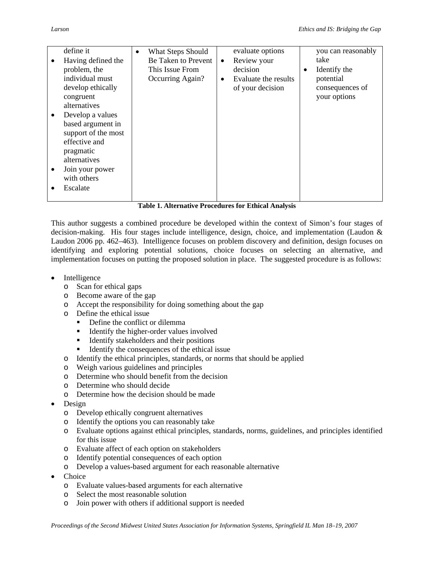|           | define it<br>Having defined the<br>problem, the<br>individual must<br>develop ethically<br>congruent<br>alternatives<br>Develop a values<br>based argument in | $\bullet$ | <b>What Steps Should</b><br>Be Taken to Prevent<br>This Issue From<br>Occurring Again? | $\bullet$<br>$\bullet$ | evaluate options<br>Review your<br>decision<br>Evaluate the results<br>of your decision | ٠ | you can reasonably<br>take<br>Identify the<br>potential<br>consequences of<br>your options |
|-----------|---------------------------------------------------------------------------------------------------------------------------------------------------------------|-----------|----------------------------------------------------------------------------------------|------------------------|-----------------------------------------------------------------------------------------|---|--------------------------------------------------------------------------------------------|
| $\bullet$ | effective and<br>pragmatic<br>alternatives<br>Join your power<br>with others<br>Escalate                                                                      |           |                                                                                        |                        |                                                                                         |   |                                                                                            |

**Table 1. Alternative Procedures for Ethical Analysis** 

This author suggests a combined procedure be developed within the context of Simon's four stages of decision-making. His four stages include intelligence, design, choice, and implementation (Laudon & Laudon 2006 pp. 462–463). Intelligence focuses on problem discovery and definition, design focuses on identifying and exploring potential solutions, choice focuses on selecting an alternative, and implementation focuses on putting the proposed solution in place. The suggested procedure is as follows:

- **Intelligence** 
	- o Scan for ethical gaps
	- o Become aware of the gap
	- o Accept the responsibility for doing something about the gap
	- o Define the ethical issue
		- Define the conflict or dilemma
		- Identify the higher-order values involved
		- Identify stakeholders and their positions
		- Identify the consequences of the ethical issue
	- o Identify the ethical principles, standards, or norms that should be applied
	- o Weigh various guidelines and principles
	- o Determine who should benefit from the decision
	- o Determine who should decide
	- o Determine how the decision should be made
- Design
	- o Develop ethically congruent alternatives
	- o Identify the options you can reasonably take
	- o Evaluate options against ethical principles, standards, norms, guidelines, and principles identified for this issue
	- o Evaluate affect of each option on stakeholders
	- o Identify potential consequences of each option
	- o Develop a values-based argument for each reasonable alternative
- **Choice** 
	- o Evaluate values-based arguments for each alternative
	- o Select the most reasonable solution
	- o Join power with others if additional support is needed